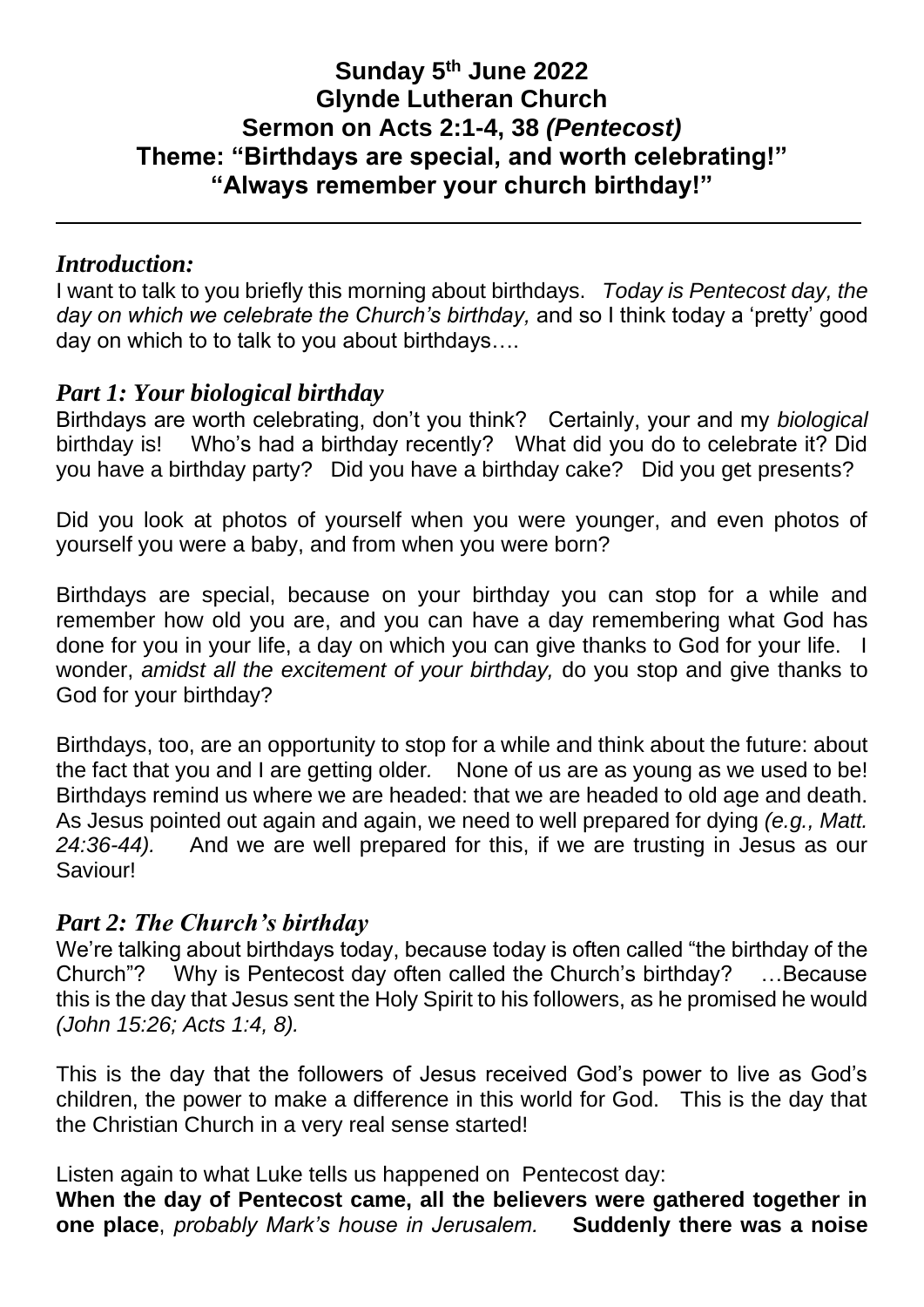# **Sunday 5th June 2022 Glynde Lutheran Church Sermon on Acts 2:1-4, 38** *(Pentecost)* **Theme: "Birthdays are special, and worth celebrating!" "Always remember your church birthday!"**

## *Introduction:*

I want to talk to you briefly this morning about birthdays. *Today is Pentecost day, the day on which we celebrate the Church's birthday,* and so I think today a 'pretty' good day on which to to talk to you about birthdays….

### *Part 1: Your biological birthday*

Birthdays are worth celebrating, don't you think? Certainly, your and my *biological*  birthday is!Who's had a birthday recently? What did you do to celebrate it? Did you have a birthday party? Did you have a birthday cake? Did you get presents?

Did you look at photos of yourself when you were younger, and even photos of yourself you were a baby, and from when you were born?

Birthdays are special, because on your birthday you can stop for a while and remember how old you are, and you can have a day remembering what God has done for you in your life, a day on which you can give thanks to God for your life. I wonder, *amidst all the excitement of your birthday,* do you stop and give thanks to God for your birthday?

Birthdays, too, are an opportunity to stop for a while and think about the future: about the fact that you and I are getting older*.* None of us are as young as we used to be! Birthdays remind us where we are headed: that we are headed to old age and death. As Jesus pointed out again and again, we need to well prepared for dying *(e.g., Matt. 24:36-44).* And we are well prepared for this, if we are trusting in Jesus as our Saviour!

#### *Part 2: The Church's birthday*

We're talking about birthdays today, because today is often called "the birthday of the Church"? Why is Pentecost day often called the Church's birthday? …Because this is the day that Jesus sent the Holy Spirit to his followers, as he promised he would *(John 15:26; Acts 1:4, 8).* 

This is the day that the followers of Jesus received God's power to live as God's children, the power to make a difference in this world for God. This is the day that the Christian Church in a very real sense started!

Listen again to what Luke tells us happened on Pentecost day:

**When the day of Pentecost came, all the believers were gathered together in one place**, *probably Mark's house in Jerusalem.* **Suddenly there was a noise**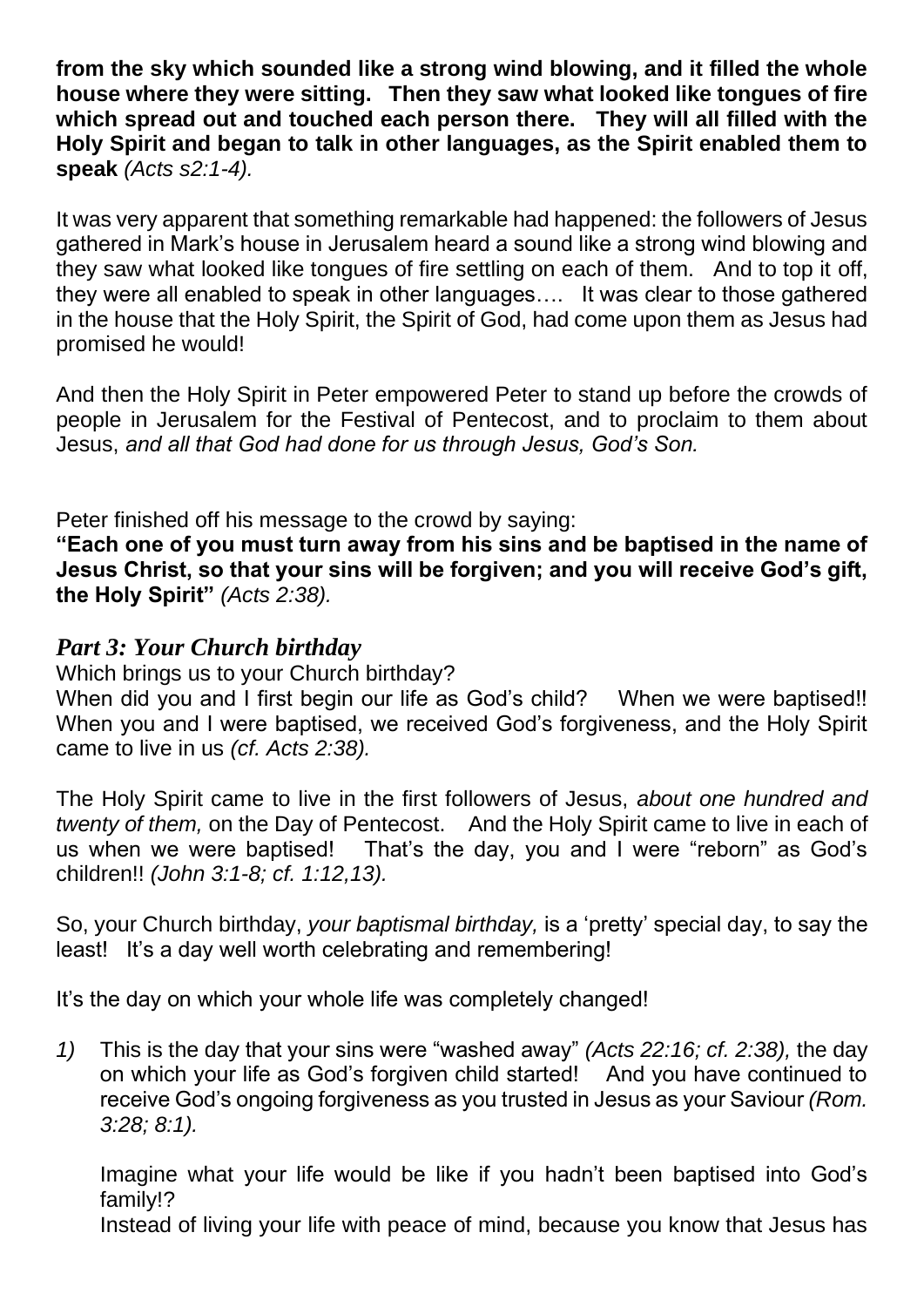**from the sky which sounded like a strong wind blowing, and it filled the whole house where they were sitting. Then they saw what looked like tongues of fire which spread out and touched each person there. They will all filled with the Holy Spirit and began to talk in other languages, as the Spirit enabled them to speak** *(Acts s2:1-4).*

It was very apparent that something remarkable had happened: the followers of Jesus gathered in Mark's house in Jerusalem heard a sound like a strong wind blowing and they saw what looked like tongues of fire settling on each of them. And to top it off, they were all enabled to speak in other languages…. It was clear to those gathered in the house that the Holy Spirit, the Spirit of God, had come upon them as Jesus had promised he would!

And then the Holy Spirit in Peter empowered Peter to stand up before the crowds of people in Jerusalem for the Festival of Pentecost, and to proclaim to them about Jesus, *and all that God had done for us through Jesus, God's Son.*

Peter finished off his message to the crowd by saying:

**"Each one of you must turn away from his sins and be baptised in the name of Jesus Christ, so that your sins will be forgiven; and you will receive God's gift, the Holy Spirit"** *(Acts 2:38).*

# *Part 3: Your Church birthday*

Which brings us to your Church birthday?

When did you and I first begin our life as God's child? When we were baptised!! When you and I were baptised, we received God's forgiveness, and the Holy Spirit came to live in us *(cf. Acts 2:38).*

The Holy Spirit came to live in the first followers of Jesus, *about one hundred and twenty of them,* on the Day of Pentecost. And the Holy Spirit came to live in each of us when we were baptised! That's the day, you and I were "reborn" as God's children!! *(John 3:1-8; cf. 1:12,13).*

So, your Church birthday, *your baptismal birthday,* is a 'pretty' special day, to say the least! It's a day well worth celebrating and remembering!

It's the day on which your whole life was completely changed!

*1)* This is the day that your sins were "washed away" *(Acts 22:16; cf. 2:38),* the day on which your life as God's forgiven child started! And you have continued to receive God's ongoing forgiveness as you trusted in Jesus as your Saviour *(Rom. 3:28; 8:1).*

Imagine what your life would be like if you hadn't been baptised into God's family!?

Instead of living your life with peace of mind, because you know that Jesus has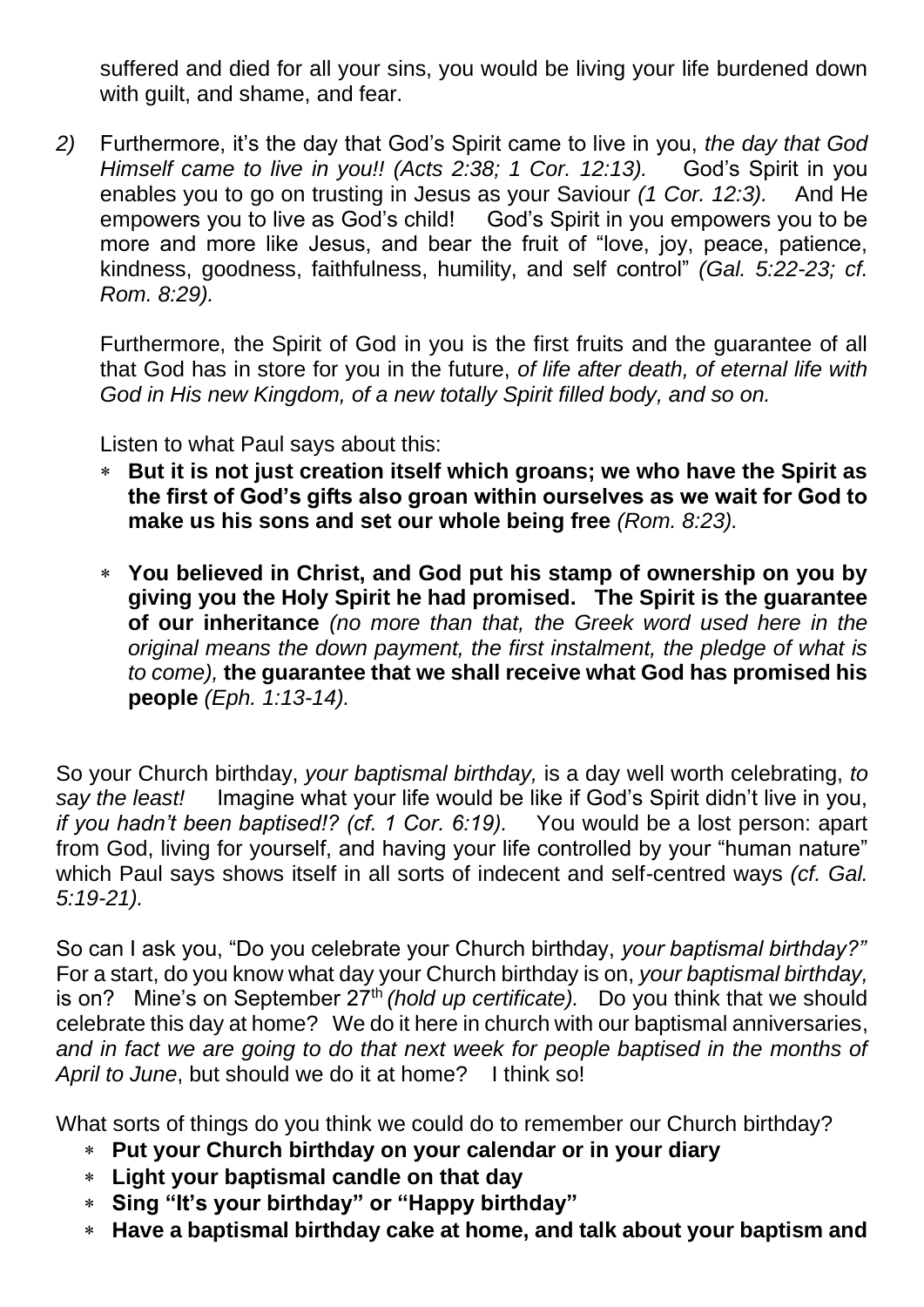suffered and died for all your sins, you would be living your life burdened down with guilt, and shame, and fear.

*2)* Furthermore, it's the day that God's Spirit came to live in you, *the day that God Himself came to live in you!! (Acts 2:38; 1 Cor. 12:13).* God's Spirit in you enables you to go on trusting in Jesus as your Saviour *(1 Cor. 12:3).* And He empowers you to live as God's child! God's Spirit in you empowers you to be more and more like Jesus, and bear the fruit of "love, joy, peace, patience, kindness, goodness, faithfulness, humility, and self control" *(Gal. 5:22-23; cf. Rom. 8:29).*

Furthermore, the Spirit of God in you is the first fruits and the guarantee of all that God has in store for you in the future, *of life after death, of eternal life with God in His new Kingdom, of a new totally Spirit filled body, and so on.* 

Listen to what Paul says about this:

- **But it is not just creation itself which groans; we who have the Spirit as the first of God's gifts also groan within ourselves as we wait for God to make us his sons and set our whole being free** *(Rom. 8:23).*
- **You believed in Christ, and God put his stamp of ownership on you by giving you the Holy Spirit he had promised. The Spirit is the guarantee of our inheritance** *(no more than that, the Greek word used here in the original means the down payment, the first instalment, the pledge of what is to come),* **the guarantee that we shall receive what God has promised his people** *(Eph. 1:13-14).*

So your Church birthday, *your baptismal birthday,* is a day well worth celebrating, *to say the least!* Imagine what your life would be like if God's Spirit didn't live in you, *if you hadn't been baptised!? (cf. 1 Cor. 6:19).* You would be a lost person: apart from God, living for yourself, and having your life controlled by your "human nature" which Paul says shows itself in all sorts of indecent and self-centred ways *(cf. Gal. 5:19-21).*

So can I ask you, "Do you celebrate your Church birthday, *your baptismal birthday?"* For a start, do you know what day your Church birthday is on, *your baptismal birthday,*  is on? Mine's on September 27<sup>th</sup> (hold up certificate). Do you think that we should celebrate this day at home? We do it here in church with our baptismal anniversaries, *and in fact we are going to do that next week for people baptised in the months of April to June*, but should we do it at home? I think so!

What sorts of things do you think we could do to remember our Church birthday?

- **Put your Church birthday on your calendar or in your diary**
- **Light your baptismal candle on that day**
- **Sing "It's your birthday" or "Happy birthday"**
- **Have a baptismal birthday cake at home, and talk about your baptism and**